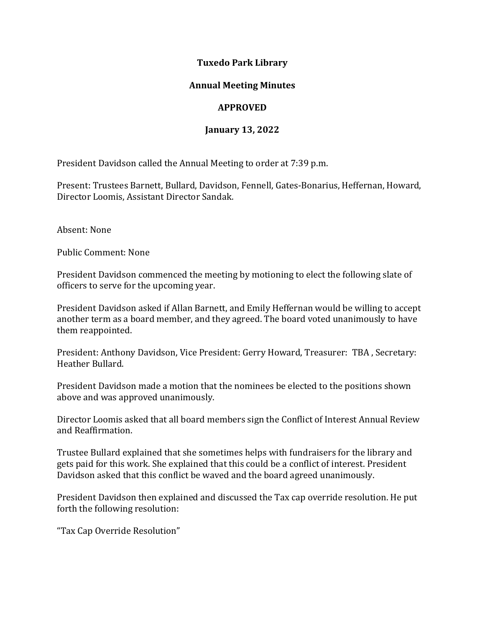#### **Tuxedo Park Library**

## **Annual Meeting Minutes**

# **APPROVED**

## **January 13, 2022**

President Davidson called the Annual Meeting to order at 7:39 p.m.

Present: Trustees Barnett, Bullard, Davidson, Fennell, Gates-Bonarius, Heffernan, Howard, Director Loomis, Assistant Director Sandak.

Absent: None

Public Comment: None

President Davidson commenced the meeting by motioning to elect the following slate of officers to serve for the upcoming year.

President Davidson asked if Allan Barnett, and Emily Heffernan would be willing to accept another term as a board member, and they agreed. The board voted unanimously to have them reappointed.

President: Anthony Davidson, Vice President: Gerry Howard, Treasurer: TBA , Secretary: Heather Bullard.

President Davidson made a motion that the nominees be elected to the positions shown above and was approved unanimously.

Director Loomis asked that all board members sign the Conflict of Interest Annual Review and Reaffirmation.

Trustee Bullard explained that she sometimes helps with fundraisers for the library and gets paid for this work. She explained that this could be a conflict of interest. President Davidson asked that this conflict be waved and the board agreed unanimously.

President Davidson then explained and discussed the Tax cap override resolution. He put forth the following resolution:

"Tax Cap Override Resolution"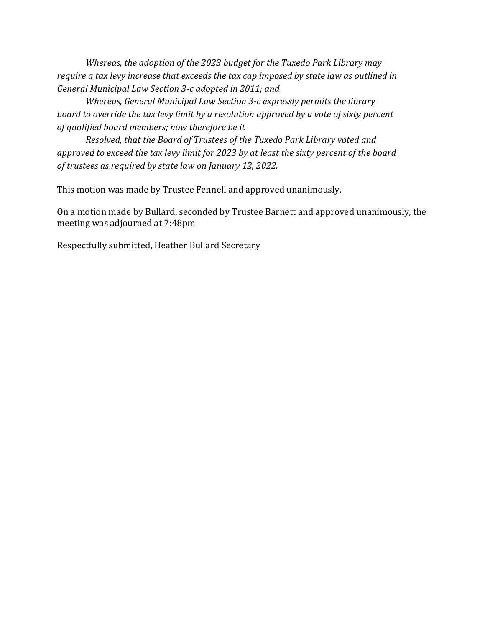*Whereas, the adoption of the 2023 budget for the Tuxedo Park Library may require a tax levy increase that exceeds the tax cap imposed by state law as outlined in General Municipal Law Section 3-c adopted in 2011; and*

*Whereas, General Municipal Law Section 3-c expressly permits the library board to override the tax levy limit by a resolution approved by a vote of sixty percent of qualified board members; now therefore be it*

*Resolved, that the Board of Trustees of the Tuxedo Park Library voted and approved to exceed the tax levy limit for 2023 by at least the sixty percent of the board of trustees as required by state law on January 12, 2022.* 

This motion was made by Trustee Fennell and approved unanimously.

On a motion made by Bullard, seconded by Trustee Barnett and approved unanimously, the meeting was adjourned at 7:48pm

Respectfully submitted, Heather Bullard Secretary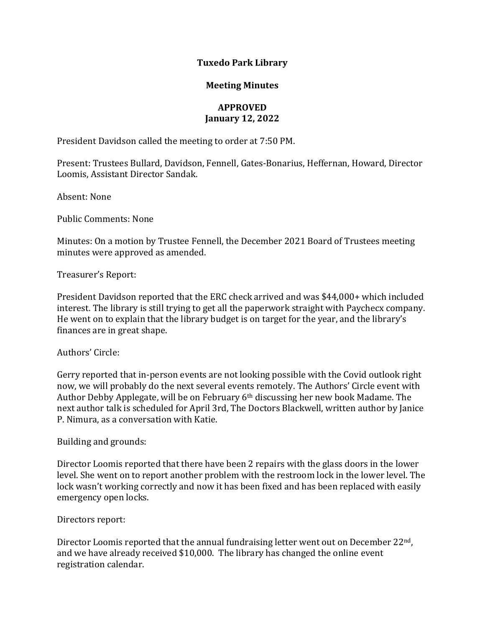#### **Tuxedo Park Library**

#### **Meeting Minutes**

# **APPROVED January 12, 2022**

President Davidson called the meeting to order at 7:50 PM.

Present: Trustees Bullard, Davidson, Fennell, Gates-Bonarius, Heffernan, Howard, Director Loomis, Assistant Director Sandak.

Absent: None

Public Comments: None

Minutes: On a motion by Trustee Fennell, the December 2021 Board of Trustees meeting minutes were approved as amended.

Treasurer's Report:

President Davidson reported that the ERC check arrived and was \$44,000+ which included interest. The library is still trying to get all the paperwork straight with Paychecx company. He went on to explain that the library budget is on target for the year, and the library's finances are in great shape.

#### Authors' Circle:

Gerry reported that in-person events are not looking possible with the Covid outlook right now, we will probably do the next several events remotely. The Authors' Circle event with Author Debby Applegate, will be on February 6th discussing her new book Madame. The next author talk is scheduled for April 3rd, The Doctors Blackwell, written author by Janice P. Nimura, as a conversation with Katie.

#### Building and grounds:

Director Loomis reported that there have been 2 repairs with the glass doors in the lower level. She went on to report another problem with the restroom lock in the lower level. The lock wasn't working correctly and now it has been fixed and has been replaced with easily emergency open locks.

#### Directors report:

Director Loomis reported that the annual fundraising letter went out on December 22<sup>nd</sup>, and we have already received \$10,000. The library has changed the online event registration calendar.